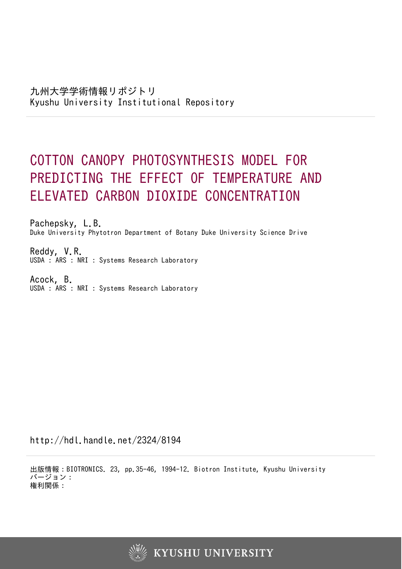# COTTON CANOPY PHOTOSYNTHESIS MODEL FOR PREDICTING THE EFFECT OF TEMPERATURE AND ELEVATED CARBON DIOXIDE CONCENTRATION

Pachepsky, L.B. Duke University Phytotron Department of Botany Duke University Science Drive

Reddy, V.R. USDA : ARS : NRI : Systems Research Laboratory

Acock, B. USDA : ARS : NRI : Systems Research Laboratory

http://hdl.handle.net/2324/8194

出版情報:BIOTRONICS. 23, pp.35-46, 1994-12. Biotron Institute, Kyushu University バージョン: 権利関係:

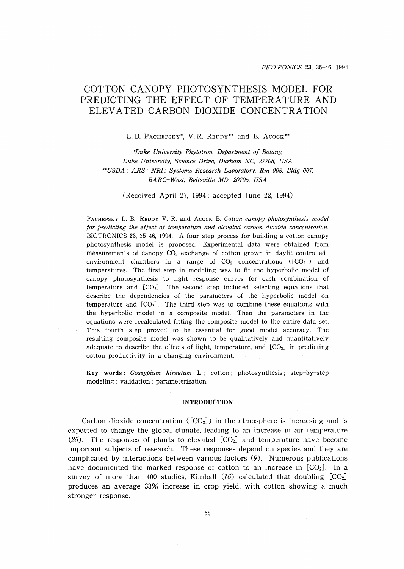# **COTTON CANOPY PHOTOSYNTHESIS MODEL FOR PREDICTING THE EFFECT OF TEMPERATURE AND ELEVATED CARBON DIOXIDE** CONCENTRA**TION**

L. B. PACHEPSKY\*, V. R. REDDY\*\* and B. ACOCK\*\*

*\*Duke University Phytotron, Department of Botany, Duke University, Science Drive, Durham NC, 27708, USA \*\*USDA* : *ARS: NRI: Systems Research Laboratory, Rm 008, Bldg 007, BARC-West, Beltsville MD, 20705, USA*

(Received April 27, 1994; accepted June 22, 1994)

PACHEPSKY L. R, REDDY V. R. and ACOCK R *Cotton canopy Photosynthesis model for predicting the effect of temperature and elevated carbon dioxide concentration.* BIOTRONICS 23, 35-46, 1994. A four-step process for building a cotton canopy photosynthesis model is proposed. Experimental data were obtained from measurements of canopy  $CO<sub>2</sub>$  exchange of cotton grown in daylit controlledenvironment chambers in a range of  $CO<sub>2</sub>$  concentrations ( $[CO<sub>2</sub>]$ ) and temperatures. The first step in modeling was to fit the hyperbolic model of canopy photosynthesis to light response curves for each combination of temperature and  $[CO<sub>2</sub>]$ . The second step included selecting equations that describe the dependencies of the parameters of the hyperbolic model on temperature and  $[CO_2]$ . The third step was to combine these equations with the hyperbolic model in a composite model. Then the parameters in the equations were recalculated fitting the composite model to the entire data set. This fourth step proved to be essential for good model accuracy. The resulting composite model was shown to be qualitatively and quantitatively adequate to describe the effects of light, temperature, and  $[CO<sub>2</sub>]$  in predicting cotton productivity in a changing environment.

**Key words:** *Gossypium hirsutum* L.; cotton; photosynthesis; step-by-step modeling; validation; parameterization.

## **INTRODUCTION**

Carbon dioxide concentration ( $[CO<sub>2</sub>]$ ) in the atmosphere is increasing and is expected to change the global climate, leading to an increase in air temperature (25). The responses of plants to elevated  $[CO<sub>2</sub>]$  and temperature have become important subjects of research. These responses depend on species and they are complicated by interactions between various factors (9). Numerous publications have documented the marked response of cotton to an increase in [CO<sub>2</sub>]. In a survey of more than 400 studies, Kimball  $(I6)$  calculated that doubling  $[CO_2]$ produces an average 33% increase in crop yield, with cotton showing a much stronger response.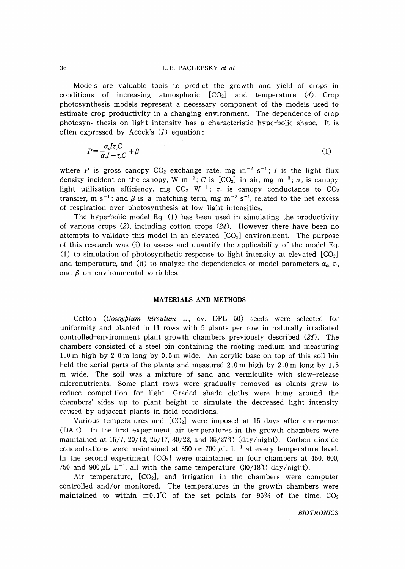Models are valuable tools to predict the growth and yield of crops in conditions of increasing atmospheric  $[CO<sub>2</sub>]$  and temperature (4). Crop photosynthesis models represent a necessary component of the models used to estimate crop productivity in a changing environment. The dependence of crop photosyn- thesis on light intensity has a characteristic hyperbolic shape. It is often expressed by Acock's  $(1)$  equation:

$$
P = \frac{\alpha_c I \tau_c C}{\alpha_c I + \tau_c C} + \beta \tag{1}
$$

where *P* is gross canopy  $CO_2$  exchange rate, mg m<sup>-2</sup> s<sup>-1</sup>; *I* is the light flux density incident on the canopy, W  $m^{-2}$ ; C is  $[CO_2]$  in air, mg  $m^{-3}$ ;  $\alpha_c$  is canopy light utilization efficiency, mg CO<sub>2</sub> W<sup>-1</sup>;  $\tau_c$  is canopy conductance to CO<sub>2</sub> transfer, m s<sup>-1</sup>; and  $\beta$  is a matching term, mg m<sup>-2</sup> s<sup>-1</sup>, related to the net excess of respiration over photosynthesis at low light intensities.

The hyperbolic model Eq. (l) has been used in simulating the productivity of various crops  $(2)$ , including cotton crops  $(24)$ . However there have been no attempts to validate this model in an elevated  $[CO<sub>2</sub>]$  environment. The purpose of this research was  $(i)$  to assess and quantify the applicability of the model Eq. (1) to simulation of photosynthetic response to light intensity at elevated  $[CO<sub>2</sub>]$ and temperature, and (ii) to analyze the dependencies of model parameters  $\alpha_c$ ,  $\tau_c$ , and  $\beta$  on environmental variables.

#### **MATERIALS AND METHODS**

Cotton *(Gossypium hirsutum* L., cv. DPL 50) seeds were selected for . uniformity and planted in 11 rows with 5 plants per row in naturally irradiated controlled-environment plant growth chambers previously described (24). The chambers consisted of a steel bin containing the rooting medium and measuring 1.0 m high by 2.0 m long by 0.5 m wide. An acrylic base on top of this soil bin held the aerial parts of the plants and measured  $2.0 \text{ m}$  high by  $2.0 \text{ m}$  long by  $1.5$ m wide. The soil was a mixture of sand and vermiculite with slow-release micronutrients. Some plant rows were gradually removed as plants grew to reduce competition for light. Graded shade cloths were hung around the chambers' sides up to plant height to simulate the decreased light intensity caused by adjacent plants in field conditions.

Various temperatures and  $[CO<sub>2</sub>]$  were imposed at 15 days after emergence (DAE). In the first experiment, air temperatures in the growth chambers were maintained at 15/7, 20/12, 25/17, 30/22, and 35/27°C (day/night). Carbon dioxide concentrations were maintained at 350 or 700  $\mu$ L L<sup>-1</sup> at every temperature level. In the second experiment  $[CO_2]$  were maintained in four chambers at 450, 600, 750 and 900 $\mu$ L L<sup>-1</sup>, all with the same temperature (30/18°C day/night).

Air temperature,  $[CO_2]$ , and irrigation in the chambers were computer controlled and/or monitored. The temperatures in the growth chambers were maintained to within  $\pm 0.1^{\circ}$  of the set points for 95% of the time, CO<sub>2</sub>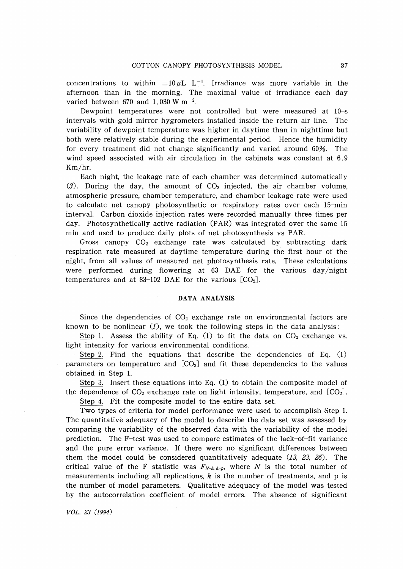concentrations to within  $\pm 10 \mu L$  L<sup>-1</sup>. Irradiance was more variable in the afternoon than in the morning. The maximal value of irradiance each day varied between 670 and 1,030 W  $\mathrm{m}^{-2}$ .

Dewpoint temperatures were not controlled but were measured at 10-s intervals with gold mirror hygrometers installed inside the return air line. The variability of dewpoint temperature was higher in daytime than in nighttime but both were relatively stable during the experimental period. Hence the humidity for every treatment did not change significantly and varied around 60%. The wind speed associated with air circulation in the cabinets was constant at 6.9 Km/hr.

Each night, the leakage rate of each chamber was determined automatically (3). During the day, the amount of  $CO<sub>2</sub>$  injected, the air chamber volume, atmospheric pressure, chamber temperature, and chamber leakage rate were used to calculate net canopy photosynthetic or respiratory rates over each 15-min interval. Carbon dioxide injection rates were recorded manually three times per day. Photosynthetically active radiation (PAR) was integrated over the same 15 min and used to produce daily plots of net photosynthesis vs PAR.

Gross canopy  $CO<sub>2</sub>$  exchange rate was calculated by subtracting dark respiration rate measured at daytime temperature during the first hour of the night, from all values of measured net photosynthesis rate. These calculations were performed during flowering at 63 DAE for the various day/night temperatures and at 83-102 DAE for the various  $[CO<sub>2</sub>]$ .

#### **DATA ANALYSIS**

Since the dependencies of  $CO<sub>2</sub>$  exchange rate on environmental factors are known to be nonlinear  $(1)$ , we took the following steps in the data analysis:

Step 1. Assess the ability of Eq.  $(1)$  to fit the data on  $CO<sub>2</sub>$  exchange vs. light intensity for various environmental conditions.

Step 2. Find the equations that describe the dependencies of Eq.  $(1)$ parameters on temperature and  $[CO<sub>2</sub>]$  and fit these dependencies to the values obtained in Step 1.

Step 3. Insert these equations into Eq. (l) to obtain the composite model of the dependence of  $CO<sub>2</sub>$  exchange rate on light intensity, temperature, and  $[CO<sub>2</sub>]$ .

Step 4. Fit the composite model to the entire data set.

Two types of criteria for model performance were used to accomplish Step 1. The quantitative adequacy of the model to describe the data set was assessed by comparing the variability of the observed data with the variability of the model prediction. The F-test was used to compare estimates of the lack-of-fit variance and the pure error variance. If there were no significant differences between them the model could be considered quantitatively adequate  $(13, 23, 26)$ . The critical value of the F statistic was  $F_{N-k,k-p}$ , where *N* is the total number of measurements including all replications,  $k$  is the number of treatments, and p is the number of model parameters. Qualitative adequacy of the model was tested by the autocorrelation coefficient of model errors. The absence of significant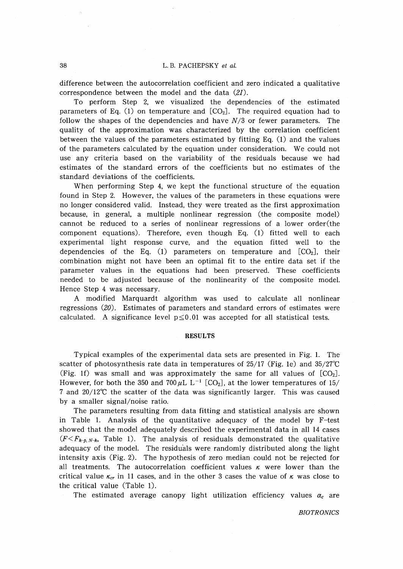difference between the autocorrelation coefficient and zero indicated a qualitative correspondence between the model and the data  $(21)$ .

To perform Step 2, we visualized the dependencies of the estimated parameters of Eq. (1) on temperature and  $[CO_2]$ . The required equation had to follow the shapes of the dependencies and have  $N/3$  or fewer parameters. The quality of the approximation was characterized by the correlation coefficient between the values of the parameters estimated by fitting Eq. (1) and the values of the parameters calculated by the equation under consideration. We could not use any criteria based on the variability of the residuals because we had estimates of the standard errors of the coefficients but no estimates of the standard deviations of the coefficients.

When performing Step 4, we kept the functional structure of the equation found in Step 2. However, the values of the parameters in these equations were no longer considered valid. Instead, they were treated as the first approximation because, in general, a multiple nonlinear regression (the composite model) cannot be reduced to a series of nonlinear regressions of a lower order(the component equations). Therefore, even though Eq. (1) fitted well to each experimental light response curve, and the equation fitted well to the dependencies of the Eq. (1) parameters on temperature and  $[CO<sub>2</sub>]$ , their combination might not have been an optimal fit to the entire data set if the parameter values in the equations had been preserved. These coefficients needed to be adjusted because of the nonlinearity of the composite model. Hence Step 4 was necessary.

A modified Marquardt algorithm was used to calculate all nonlinear regressions (20). Estimates of parameters and standard errors of estimates were calculated. A significance level  $p \le 0.01$  was accepted for all statistical tests.

# **RESULTS**

Typical examples of the experimental data sets are presented in Fig. 1. The scatter of photosynthesis rate data in temperatures of 25/17 (Fig. le) and *35/2rc* (Fig. 1f) was small and was approximately the same for all values of  $[CO<sub>2</sub>]$ . However, for both the 350 and 700  $\mu$ L L<sup>-1</sup> [CO<sub>2</sub>], at the lower temperatures of 15/ 7 and 20/l2°C the scatter of the data was significantly larger. This was caused by a smaller signal/noise ratio.

The parameters resulting from data fitting and statistical analysis are shown in Table 1. Analysis of the quantitative adequacy of the model by F-test showed that the model adequately described the experimental data in all 14 cases  $(F \leq F_{k-p,N-k}$ , Table 1). The analysis of residuals demonstrated the qualitative adequacy of the model. The residuals were randomly distributed along the light intensity axis (Fig. 2). The hypothesis of zero median could not be rejected for all treatments. The autocorrelation coefficient values  $\kappa$  were lower than the critical value  $\kappa_{cr}$  in 11 cases, and in the other 3 cases the value of  $\kappa$  was close to the critical value (Table 1).

The estimated average canopy light utilization efficiency values  $\alpha_c$  are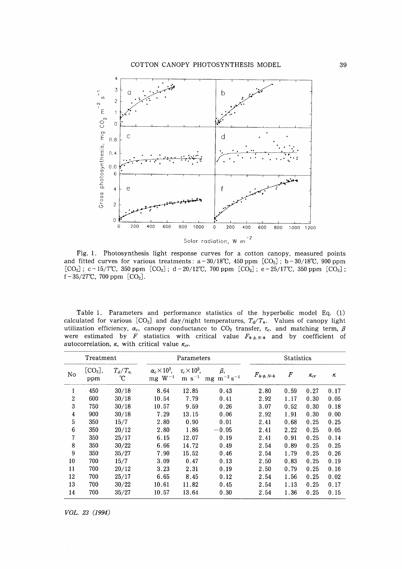

Fig. 1. Photosynthesis light response curves for a cotton canopy, measured points and fitted curves for various treatments:  $a - 30/18^{\circ}C$ , 450 ppm [CO<sub>2</sub>]; b - 30/18<sup>o</sup>C, 900 ppm  $[CO_2]$ ; c - 15/7°C, 350 ppm  $[CO_2]$ ; d - 20/12°C, 700 ppm  $[CO_2]$ ; e - 25/17°C, 350 ppm  $[CO_2]$ ; f  $-35/27^{\circ}$ C, 700 ppm [CO<sub>2</sub>].

Table 1. Parameters and performance statistics of the hyperbolic model Eq. (l) calculated for various  $[CO_2]$  and day/night temperatures,  $T_d/T_n$ . Values of canopy light utilization efficiency,  $\alpha_c$ , canopy conductance to CO<sub>2</sub> transfer,  $\tau_c$ , and matching term,  $\beta$ were estimated by F statistics with critical value  $F_{k-p,N-k}$  and by coefficient of autocorrelation,  $\kappa$ , with critical value  $\kappa_{cr}$ .

| Treatment        |                            |                 | Parameters                                |                                      |                             | <b>Statistics</b> |                  |               |      |
|------------------|----------------------------|-----------------|-------------------------------------------|--------------------------------------|-----------------------------|-------------------|------------------|---------------|------|
| No.              | [CO <sub>2</sub> ],<br>ppm | $T_d/T_n$<br>°C | $\alpha_c \times 10^3$ ,<br>$mg$ $W^{-1}$ | $\tau_c \times 10^3$ ,<br>$m s^{-1}$ | β,<br>mg $\ m^{-2}\,s^{-1}$ | $F_{k-p, N-k}$    | $\boldsymbol{F}$ | $\kappa_{cr}$ | κ    |
| 1                | 450                        | 30/18           | 8.64                                      | 12.85                                | 0.43                        | 2.80              | 0.59             | 0.27          | 0.17 |
| $\boldsymbol{2}$ | 600                        | 30/18           | 10.54                                     | 7.79                                 | 0.41                        | 2.92              | 1.17             | 0.30          | 0.05 |
| 3                | 750                        | 30/18           | 10.57                                     | 9.59                                 | 0.26                        | 3.07              | 0.52             | 0.30          | 0.18 |
| 4                | 900                        | 30/18           | 7.29                                      | 13.15                                | 0.06                        | 2.92              | 1.91             | 0.30          | 0.00 |
| $\overline{5}$   | 350                        | 15/7            | 2.80                                      | 0.90                                 | 0.01                        | 2.41              | 0.68             | 0.25          | 0.25 |
| 6                | 350                        | 20/12           | 2.80                                      | 1.86                                 | $-0.05$                     | 2.41              | 2.22             | 0.25          | 0.05 |
| 7                | 350                        | 25/17           | 6.15                                      | 12.07                                | 0.19                        | 2.41              | 0.91             | 0.25          | 0.14 |
| 8                | 350                        | 30/22           | 6.66                                      | 14.72                                | 0.49                        | 2.54              | 0.89             | 0.25          | 0.25 |
| 9                | 350                        | 35/27           | 7.90                                      | 15.52                                | 0.46                        | 2.54              | 1.79             | 0.25          | 0.26 |
| 10               | 700                        | 15/7            | 3.09                                      | 0.47                                 | 0.13                        | 2.50              | 0.83             | 0.25          | 0.19 |
| 11               | 700                        | 20/12           | 3.23                                      | 2.31                                 | 0.19                        | 2.50              | 0.79             | 0.25          | 0.16 |
| 12               | 700                        | 25/17           | 6.65                                      | 8.45                                 | 0.12                        | 2.54              | 1.56             | 0.25          | 0.02 |
| 13               | 700                        | 30/22           | 10.61                                     | 11.82                                | 0.45                        | 2.54              | 1.13             | 0.25          | 0.17 |
| 14               | 700                        | 35/27           | 10.57                                     | 13.64                                | 0.30                        | 2.54              | 1.36             | 0.25          | 0.15 |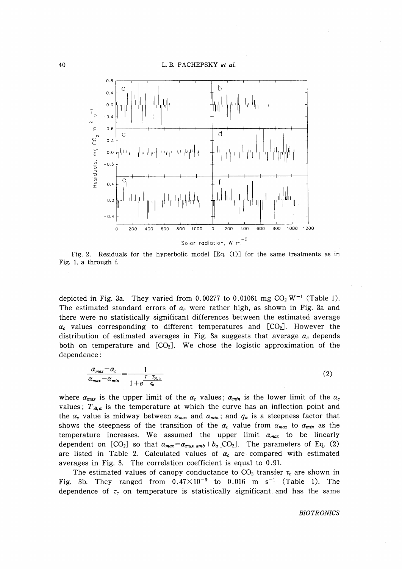

Fig. 2. Residuals for the hyperbolic model [Eq. (l)] for the same treatments as in Fig. 1, a through f.

depicted in Fig. 3a. They varied from 0.00277 to 0.01061 mg  $CO<sub>2</sub> W<sup>-1</sup>$  (Table 1). The estimated standard errors of  $\alpha_c$  were rather high, as shown in Fig. 3a and there were no statistically significant differences between the estimated average  $\alpha_c$  values corresponding to different temperatures and  $[CO_2]$ . However the distribution of estimated averages in Fig. 3a suggests that average  $\alpha_c$  depends both on temperature and  $[CO<sub>2</sub>]$ . We chose the logistic approximation of the dependence:

$$
\frac{\alpha_{max} - \alpha_c}{\alpha_{max} - \alpha_{min}} = \frac{1}{1 + e^{\frac{T - T_{50,a}}{q_a}}}
$$
(2)

where  $\alpha_{max}$  is the upper limit of the  $\alpha_c$  values;  $\alpha_{min}$  is the lower limit of the  $\alpha_c$ values;  $T_{50,a}$  is the temperature at which the curve has an inflection point and the  $\alpha_c$  value is midway between  $\alpha_{max}$  and  $\alpha_{min}$ ; and  $q_{\alpha}$  is a steepness factor that shows the steepness of the transition of the  $\alpha_c$  value from  $\alpha_{max}$  to  $\alpha_{min}$  as the temperature increases. We assumed the upper limit  $\alpha_{max}$  to be linearly dependent on  $[CO_2]$  so that  $\alpha_{max} = \alpha_{max,amb} + b_{\alpha} [CO_2]$ . The parameters of Eq. (2) are listed in Table 2. Calculated values of  $\alpha_c$  are compared with estimated averages in Fig. 3. The correlatjon coefficient is equal to 0.91.

The estimated values of canopy conductance to  $CO<sub>2</sub>$  transfer  $\tau_c$  are shown in Fig. 3b. They ranged from  $0.47 \times 10^{-3}$  to 0.016 m s<sup>-1</sup> (Table 1). The dependence of  $\tau_c$  on temperature is statistically significant and has the same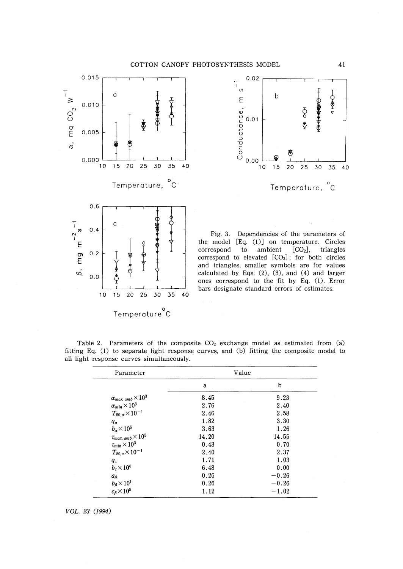



Fig. 3. Dependencies of the parameters of the model [Eq. (l)] on temperature. Circles correspond to ambient  $[CO<sub>2</sub>]$ , triangles correspond to elevated  $[CO<sub>2</sub>]$ ; for both circles and triangles, smaller symbols are for values calculated by Eqs. (2), (3), and (4) and larger ones correspond to the fit by Eq. (l). Error bars designate standard errors of estimates.

| Parameter                                |       | Value   |
|------------------------------------------|-------|---------|
|                                          | a     | b       |
| $\alpha_{max, \, amb} \times 10^3$       | 8.45  | 9.23    |
| $\alpha_{min}\times 10^3$                | 2.76  | 2.40    |
| $T_{50,\,\alpha} \times 10^{-1}$         | 2.46  | 2.58    |
| $q_{\alpha}$                             | 1.82  | 3.30    |
| $b_{\alpha}$ $\times$ 10 <sup>6</sup>    | 3.63  | 1.26    |
| $\tau_{max, \; amb} \times 10^3$         | 14.20 | 14.55   |
| $\tau_{min}\!\times\!10^3$               | 0.43  | 0.70    |
| $T_{\rm 50, \, \tau} \rm{\times}10^{-1}$ | 2.40  | 2.37    |
| $q_{\tau}$                               | 1.71  | 1.03    |
| $b_{\tau}$ $\times$ 10 <sup>6</sup>      | 6.48  | 0.00    |
| $a_{\beta}$                              | 0.26  | $-0.26$ |
| $b_\beta\!\times\!10^1$                  | 0.26  | $-0.26$ |
| $c_\beta\times 10^5$                     | 1.12  | $-1.02$ |

Table 2. Parameters of the composite  $CO<sub>2</sub>$  exchange model as estimated from (a) fitting Eq. (l) to separate light response curves, and (b) fitting the composite model to all light response curves simultaneously.

*VOL.* 23 (1994)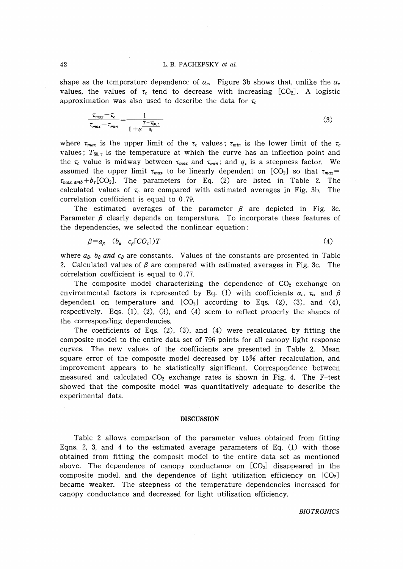shape as the temperature dependence of  $\alpha_c$ . Figure 3b shows that, unlike the  $\alpha_c$ values, the values of  $\tau_c$  tend to decrease with increasing  $[CO_2]$ . A logistic approximation was also used to describe the data for  $\tau_c$ 

$$
\frac{\tau_{max} - \tau_c}{\tau_{max} - \tau_{min}} = \frac{1}{1 + e^{\frac{T - T_{50,\tau}}{q_\tau}}}
$$
(3)

where  $\tau_{max}$  is the upper limit of the  $\tau_c$  values;  $\tau_{min}$  is the lower limit of the  $\tau_c$ values;  $T_{50,\tau}$  is the temperature at which the curve has an inflection point and the  $\tau_c$  value is midway between  $\tau_{max}$  and  $\tau_{min}$ ; and  $q_{\tau}$  is a steepness factor. We assumed the upper limit  $\tau_{max}$  to be linearly dependent on  $[CO_2]$  so that  $\tau_{max}$  $\tau_{max,amb} + b_r$  [CO<sub>2</sub>]. The parameters for Eq. (2) are listed in Table 2. The calculated values of  $\tau_c$  are compared with estimated averages in Fig. 3b. The correlation coefficient is equal to 0.79.

The estimated averages of the parameter  $\beta$  are depicted in Fig. 3c. Parameter  $\beta$  clearly depends on temperature. To incorporate these features of the dependencies, we selected the nonlinear equation:

$$
\beta = a_{\beta} - (b_{\beta} - c_{\beta} [CO_2])T \tag{4}
$$

where  $a_{3}$ ,  $b_{\beta}$  and  $c_{\beta}$  are constants. Values of the constants are presented in Table 2. Calculated values of  $\beta$  are compared with estimated averages in Fig. 3c. The correlation coefficient is equal to 0.77.

The composite model characterizing the dependence of  $CO<sub>2</sub>$  exchange on environmental factors is represented by Eq. (1) with coefficients  $\alpha_c$ ,  $\tau_o$  and  $\beta$ dependent on temperature and  $[CO<sub>2</sub>]$  according to Eqs. (2), (3), and (4), respectively. Eqs.  $(1)$ ,  $(2)$ ,  $(3)$ , and  $(4)$  seem to reflect properly the shapes of the corresponding dependencies.

The coefficients of Eqs.  $(2)$ ,  $(3)$ , and  $(4)$  were recalculated by fitting the composite model to the entire data set of 796 points for all canopy light response curves. The new values of the coefficients are presented in Table 2. Mean square error of the composite model decreased by 15% after recalculation, and improvement appears to be statistically significant. Correspondence between measured and calculated  $CO<sub>2</sub>$  exchange rates is shown in Fig. 4. The F-test showed that the composite model was quantitatively adequate to describe the experimental data.

#### **DISCUSSION**

Table 2 allows comparison of the parameter values obtained from fitting Eqns. 2, 3, and 4 to the estimated average parameters of Eq.  $(1)$  with those obtained from fitting the composit model to the entire data set as mentioned above. The dependence of canopy conductance on  $[CO<sub>2</sub>]$  disappeared in the composite model, and the dependence of light utilization efficiency on  $[CO<sub>2</sub>]$ became weaker. The steepness of the temperature dependencies increased for canopy conductance and decreased for light utilization efficiency.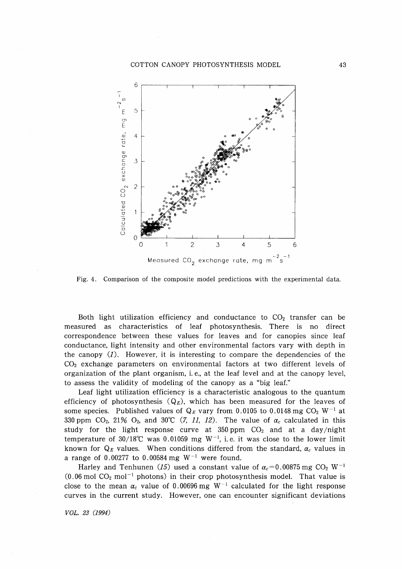

Fig. 4. Comparison of the composite model predictions with the experimental data.

Both light utilization efficiency and conductance to  $CO<sub>2</sub>$  transfer can be measured as characteristics of leaf photosynthesis. There is no direct correspondence between these values for leaves and for canopies since leaf conductance, light intensity and other environmental factors vary with depth in the canopy  $(1)$ . However, it is interesting to compare the dependencies of the  $CO<sub>2</sub>$  exchange parameters on environmental factors at two different levels of organization of the plant organism, i. e., at the leaf level and at the canopy level, to assess the validity of modeling of the canopy as a "big leaf."

Leaf light utilization efficiency is a characteristic analogous to the quantum efficiency of photosynthesis  $(Q_E)$ , which has been measured for the leaves of some species. Published values of  $Q_E$  vary from 0.0105 to 0.0148 mg  $CO_2$  W<sup>-1</sup> at 330 ppm CO<sub>2</sub>, 21% O<sub>2</sub>, and 30°C (7, 11, 12). The value of  $\alpha_c$  calculated in this study for the light response curve at 350 ppm  $CO<sub>2</sub>$  and at a day/night temperature of 30/18°C was 0.01059 mg W<sup>-1</sup>, i.e. it was close to the lower limit known for  $Q_E$  values. When conditions differed from the standard,  $\alpha_c$  values in a range of 0.00277 to 0.00584 mg  $W^{-1}$  were found.

Harley and Tenhunen (15) used a constant value of  $\alpha_c = 0.00875$  mg CO<sub>2</sub> W<sup>-1</sup>  $(0.06 \text{ mol } CO<sub>2</sub> \text{ mol}^{-1}$  photons) in their crop photosynthesis model. That value is close to the mean  $\alpha_c$  value of 0.00696 mg  $W^{-1}$  calculated for the light response curves in the current study. However, one can encounter significant deviations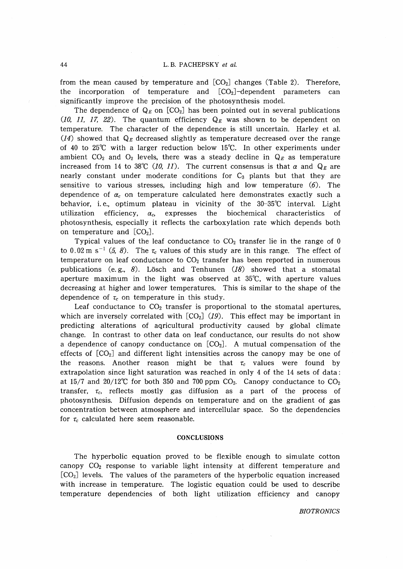from the mean caused by temperature and  $[CO<sub>2</sub>]$  changes (Table 2). Therefore, the incorporation of temperature and  $[CO<sub>2</sub>]$ -dependent parameters can significantly improve the precision of the photosynthesis model.

The dependence of  $Q_E$  on  $[CO_2]$  has been pointed out in several publications (10, 11, 17, 22). The quantum efficiency  $Q_E$  was shown to be dependent on temperature. The character of the dependence is still uncertain. Harley et al.  $(14)$  showed that  $Q_E$  decreased slightly as temperature decreased over the range of 40 to 25°C with a larger reduction below 15°C. In other experiments under ambient  $CO_2$  and  $O_2$  levels, there was a steady decline in  $Q_E$  as temperature increased from 14 to 38°C (10, 11). The current consensus is that  $\alpha$  and  $Q_E$  are nearly constant under moderate conditions for  $C_3$  plants but that they are sensitive to various stresses, including high and low temperature  $(6)$ . The dependence of  $\alpha_c$  on temperature calculated here demonstrates exactly such a behavior, i.e., optimum plateau in vicinity of the 30-35°C interval. Light utilization efficiency,  $\alpha_c$ , expresses the biochemical characteristics of photosynthesis, especially it reflects the carboxylation rate which depends both on temperature and  $[CO<sub>2</sub>]$ .

Typical values of the leaf conductance to  $CO<sub>2</sub>$  transfer lie in the range of 0 to 0.02 m s<sup>-1</sup> (5, 8). The  $\tau_c$  values of this study are in this range. The effect of temperature on leaf conductance to  $CO<sub>2</sub>$  transfer has been reported in numerous publications (e.g., 8). Lösch and Tenhunen  $(18)$  showed that a stomatal aperture maximum in the light was observed at 35°C, with aperture values decreasing at higher and lower temperatures. This is similar to the shape of the dependence of  $\tau_c$  on temperature in this study.

Leaf conductance to  $CO<sub>2</sub>$  transfer is proportional to the stomatal apertures, which are inversely correlated with  $[CO<sub>2</sub>]$  (19). This effect may be important in predicting alterations of aqricultural productivity caused by global climate change. In contrast to other data on leaf conductance, our results do not show a dependence of canopy conductance on  $[CO<sub>2</sub>]$ . A mutual compensation of the effects of  $[CO<sub>2</sub>]$  and different light intensities across the canopy may be one of the reasons. Another reason might be that  $\tau_c$  values were found by extrapolation since light saturation was reached in only 4 of the 14 sets of data: at 15/7 and 20/12°C for both 350 and 700 ppm  $CO<sub>2</sub>$ . Canopy conductance to  $CO<sub>2</sub>$ transfer,  $\tau_c$ , reflects mostly gas diffusion as a part of the process of photosynthesis. Diffusion depends on temperature and on the gradient of gas concentration between atmosphere and intercellular space. So the dependencies for  $\tau_c$  calculated here seem reasonable.

# **CONCLUSIONS**

The hyperbolic equation proved to be flexible enough to simulate cotton canopy CO2 response to variable light intensity at different temperature and [C02] levels. The values of the parameters of the hyperbolic equation increased with increase in temperature. The logistic equation could be used to describe temperature dependencies of both light utilization efficiency and canopy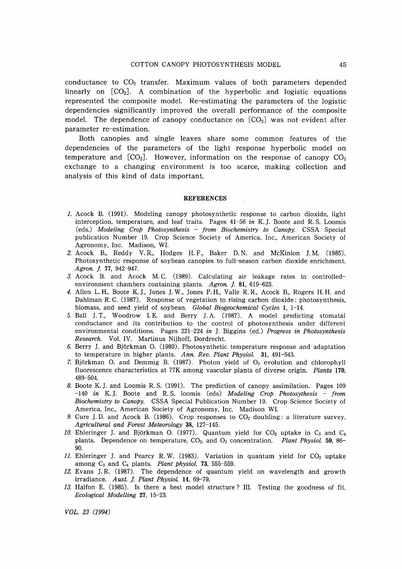conductance to  $CO<sub>2</sub>$  transfer. Maximum values of both parameters depended linearly on  $[CO<sub>2</sub>]$ . A combination of the hyperbolic and logistic equations represented the composite model. Re-estimating the parameters of the logistic dependencies significantly improved the overall performance of the composite model. The dependence of canopy conductance on  $[CO<sub>2</sub>]$  was not evident after parameter re-estimation.

Both canopies and single leaves share some common features of the dependencies of the parameters of the light response hyperbolic model on temperature and  $[CO_2]$ . However, information on the response of canopy  $CO_2$ exchange to a changing environment is too scarce, making collection and analysis of this kind of data important.

#### REFERENCES

- 1. Acock B. (1991). Modeling canopy photosynthetic response to carbon dioxide, light interception, temperature, and leaf traits. Pages 41-56 *in* K. J. Boote and R S. Loomis (eds.) *Modeling Crop Photosynthesis* - *from Biochemistry to Canopy.* CSSA Special publication Number 19. Crop Science Society of America, Inc., American Society of Agronomy, Inc. Madison, WI.
- 2. Acock R, Reddy V. R, Hodges H. F., Baker D. N. and McKinion J. M. (1985). Photosynthetic response of soybean canopies to full-season carbon dioxide enrichment. Agron. J. 77, 942-947.
- 3. Acock B. and Acock M. C. (1989). Calculating air leakage rates in controlledenvironment chambers containing plants. Agron. J. 81, 619-623.
- 4. AlIen L. H., Boote K. J., Jones J. W., Jones P. H., Valle R R., Acock B., Rogers H. H. and Dahlman R.C. (1987). Response of vegetation to rising carbon dioxide: photosynthesis, biomass, and seed yield of soybean. *Global Biogeochemical Cycles* 1, 1-14.
- 5. Ball J. T., Woodrow I. E. and Berry J. A. (1987). A model predicting stomatal conductance and its contribution to the control of photosynthesis under different environmental conditions. Pages 221-224 *in* J. Biggiris (ed.) *Progress in Photosynthesis Research.* Vol. IV. Martinus Nijhoff, Dordrecht.
- 6. Berry J. and Bjorkman O. (1980). Photosynthetic temperature response and adaptation to temperature in higher plants. *Ann. Rev. Plant Physiol.* 31, 491-543.
- 7. Björkman O. and Demmig B. (1987). Photon yield of  $O_2$  evolution and chlorophyll fluorescence characteristics at 77K among vascular plants of diverse origin. *Planta 170,* 489-504.
- 8. Boote K. J. and Loomis R S. (1991). The prediction of canopy assimilation. Pages 109 *-140 in* K. J. Boote and R S. loomis (eds) *Modeling Crop Photosythesis* - *from Biochemistry to Canopy.* CSSA Special Publication Number 19. Crop Science Society of America, Inc., American Society of Agronomy, Inc. Madison WI.
- 9. Cure J.D. and Acock B. (1986). Crop responses to  $CO<sub>2</sub>$  doubling: a literature survey. *Agricultural and Forest Meteorology* 38, 127-145.
- 10. Ehleringer J. and Björkman O. (1977). Quantum yield for  $CO<sub>2</sub>$  uptake in  $C<sub>3</sub>$  and  $C<sub>4</sub>$ plants. Dependence on temperature, CO2, and O<sup>2</sup> concentration. *Plant Physiol.* 59, 86- 90.
- 11. Ehleringer J. and Pearcy R.W. (1983). Variation in quantum yield for  $CO<sub>2</sub>$  uptake among C<sup>3</sup> and C<sup>4</sup> plants. *Plant Physiol.* 73, 555-559.
- 12. Evans J.R. (1987). The dependence of quantum yield on wavelength and growth irradiance. Aust. J. Plant Physiol. 14, 69-79.
- 13. Halfon E. (1985). Is there a best model structure? Ill. Testing the goodness of fit. *Ecological Modelling* 27, 15-23.